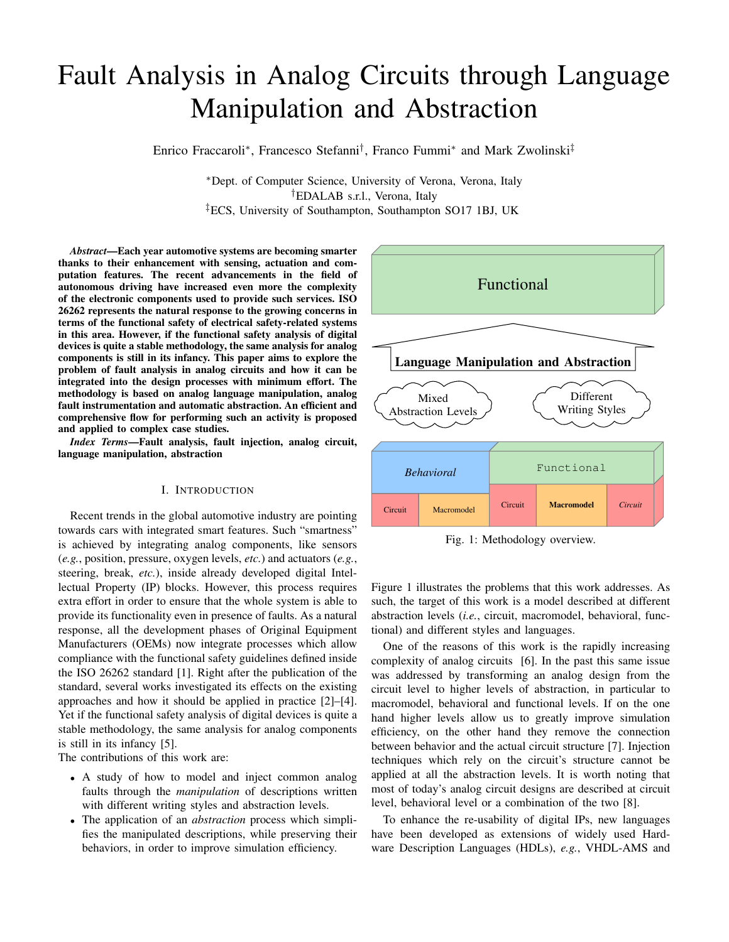# Fault Analysis in Analog Circuits through Language Manipulation and Abstraction

Enrico Fraccaroli<sup>∗</sup> , Francesco Stefanni† , Franco Fummi<sup>∗</sup> and Mark Zwolinski‡

<sup>∗</sup>Dept. of Computer Science, University of Verona, Verona, Italy †EDALAB s.r.l., Verona, Italy ‡ECS, University of Southampton, Southampton SO17 1BJ, UK

*Abstract*—Each year automotive systems are becoming smarter thanks to their enhancement with sensing, actuation and computation features. The recent advancements in the field of autonomous driving have increased even more the complexity of the electronic components used to provide such services. ISO 26262 represents the natural response to the growing concerns in terms of the functional safety of electrical safety-related systems in this area. However, if the functional safety analysis of digital devices is quite a stable methodology, the same analysis for analog components is still in its infancy. This paper aims to explore the problem of fault analysis in analog circuits and how it can be integrated into the design processes with minimum effort. The methodology is based on analog language manipulation, analog fault instrumentation and automatic abstraction. An efficient and comprehensive flow for performing such an activity is proposed and applied to complex case studies.

*Index Terms*—Fault analysis, fault injection, analog circuit, language manipulation, abstraction

#### I. INTRODUCTION

Recent trends in the global automotive industry are pointing towards cars with integrated smart features. Such "smartness" is achieved by integrating analog components, like sensors (*e.g.*, position, pressure, oxygen levels, *etc.*) and actuators (*e.g.*, steering, break, *etc.*), inside already developed digital Intellectual Property (IP) blocks. However, this process requires extra effort in order to ensure that the whole system is able to provide its functionality even in presence of faults. As a natural response, all the development phases of Original Equipment Manufacturers (OEMs) now integrate processes which allow compliance with the functional safety guidelines defined inside the ISO 26262 standard [1]. Right after the publication of the standard, several works investigated its effects on the existing approaches and how it should be applied in practice [2]–[4]. Yet if the functional safety analysis of digital devices is quite a stable methodology, the same analysis for analog components is still in its infancy [5].

The contributions of this work are:

- A study of how to model and inject common analog faults through the *manipulation* of descriptions written with different writing styles and abstraction levels.
- The application of an *abstraction* process which simplifies the manipulated descriptions, while preserving their behaviors, in order to improve simulation efficiency.



Fig. 1: Methodology overview.

Figure 1 illustrates the problems that this work addresses. As such, the target of this work is a model described at different abstraction levels (*i.e.*, circuit, macromodel, behavioral, functional) and different styles and languages.

One of the reasons of this work is the rapidly increasing complexity of analog circuits [6]. In the past this same issue was addressed by transforming an analog design from the circuit level to higher levels of abstraction, in particular to macromodel, behavioral and functional levels. If on the one hand higher levels allow us to greatly improve simulation efficiency, on the other hand they remove the connection between behavior and the actual circuit structure [7]. Injection techniques which rely on the circuit's structure cannot be applied at all the abstraction levels. It is worth noting that most of today's analog circuit designs are described at circuit level, behavioral level or a combination of the two [8].

To enhance the re-usability of digital IPs, new languages have been developed as extensions of widely used Hardware Description Languages (HDLs), *e.g.*, VHDL-AMS and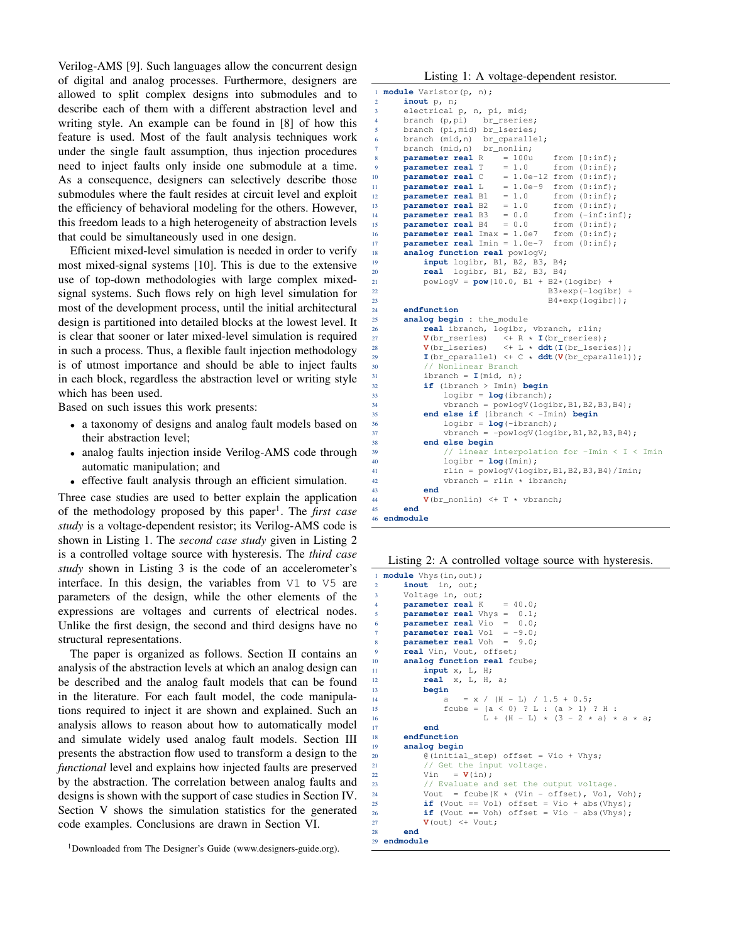Verilog-AMS [9]. Such languages allow the concurrent design of digital and analog processes. Furthermore, designers are allowed to split complex designs into submodules and to describe each of them with a different abstraction level and writing style. An example can be found in [8] of how this feature is used. Most of the fault analysis techniques work under the single fault assumption, thus injection procedures need to inject faults only inside one submodule at a time. As a consequence, designers can selectively describe those submodules where the fault resides at circuit level and exploit the efficiency of behavioral modeling for the others. However, this freedom leads to a high heterogeneity of abstraction levels that could be simultaneously used in one design.

Efficient mixed-level simulation is needed in order to verify most mixed-signal systems [10]. This is due to the extensive use of top-down methodologies with large complex mixedsignal systems. Such flows rely on high level simulation for most of the development process, until the initial architectural design is partitioned into detailed blocks at the lowest level. It is clear that sooner or later mixed-level simulation is required in such a process. Thus, a flexible fault injection methodology is of utmost importance and should be able to inject faults in each block, regardless the abstraction level or writing style which has been used.

Based on such issues this work presents:

- a taxonomy of designs and analog fault models based on their abstraction level;
- analog faults injection inside Verilog-AMS code through automatic manipulation; and
- effective fault analysis through an efficient simulation.

Three case studies are used to better explain the application of the methodology proposed by this paper<sup>1</sup>. The *first case study* is a voltage-dependent resistor; its Verilog-AMS code is shown in Listing 1. The *second case study* given in Listing 2 is a controlled voltage source with hysteresis. The *third case study* shown in Listing 3 is the code of an accelerometer's interface. In this design, the variables from V1 to V5 are parameters of the design, while the other elements of the expressions are voltages and currents of electrical nodes. Unlike the first design, the second and third designs have no structural representations.

The paper is organized as follows. Section II contains an analysis of the abstraction levels at which an analog design can be described and the analog fault models that can be found in the literature. For each fault model, the code manipulations required to inject it are shown and explained. Such an analysis allows to reason about how to automatically model and simulate widely used analog fault models. Section III presents the abstraction flow used to transform a design to the *functional* level and explains how injected faults are preserved by the abstraction. The correlation between analog faults and designs is shown with the support of case studies in Section IV. Section V shows the simulation statistics for the generated code examples. Conclusions are drawn in Section VI.

<sup>1</sup>Downloaded from The Designer's Guide (www.designers-guide.org).

Listing 1: A voltage-dependent resistor.

|                | 1 <b>module</b> Varistor(p, n);                                            |
|----------------|----------------------------------------------------------------------------|
| $\overline{2}$ | inout p, n;                                                                |
| 3              | electrical p, n, pi, mid;                                                  |
| 4              | branch (p, pi) br_rseries;                                                 |
| 5              | branch (pi, mid) br_lseries;                                               |
| 6              | branch (mid, n) br_cparallel;                                              |
| 7              | branch (mid, n) br nonlin;                                                 |
| 8              | parameter real R<br>= 100u<br>from $[0:inf)$ ;                             |
| 9              | $= 1.0$<br>parameter real T<br>from $(0:inf)$ ;                            |
| 10             | parameter real C<br>$= 1.0e-12$ from $(0:inf)$ ;                           |
| 11             | parameter real L<br>$= 1.0e-9$ from $(0:inf)$ ;                            |
| 12             | parameter real B1<br>$= 1.0$<br>from $(0:inf)$ ;                           |
| 13             | parameter real B2<br>$= 1.0$<br>from $(0:inf)$ ;                           |
| 14             | parameter real B3<br>$= 0.0$<br>from $(-\inf; \inf)$ ;                     |
| 15             | parameter real $B4 = 0.0$<br>from $(0:inf)$ ;                              |
| 16             | $parameter$ real $Imax = 1.0e7$<br>from $(0:inf)$ ;                        |
| 17             | $parameter$ real $Imin = 1.0e-7$<br>from $(0:inf)$ ;                       |
| 18             | analog function real powlogV;                                              |
| 19             | input logibr, B1, B2, B3, B4;                                              |
| 20             | logibr, B1, B2, B3, B4;<br>real                                            |
| 21             | $powlogV = pow(10.0, B1 + B2*(logibr) +$                                   |
| 22             | $B3*exp(-logibr)$ +                                                        |
| 23             | $B4*exp(logibr))$ ;                                                        |
| 24             | endfunction                                                                |
| 25             | analog begin : the_module                                                  |
| 26             | real ibranch, logibr, vbranch, rlin;                                       |
| 27             | <b>V</b> (br rseries)<br>$\leftarrow$ R $\star$ I (br rseries);            |
| 28             | $\leftarrow$ L $\star$ ddt(I(br_lseries));<br>$V(br$ _lseries)             |
| 29             | $I(br_cparallel)$ < + C * ddt ( $V(br_cparallel)$ );                       |
| 30             | // Nonlinear Branch                                                        |
| 31             | ibranch = $I(mid, n)$ ;                                                    |
| 32             | if (ibranch > Imin) begin                                                  |
| 33             | $logibr = log(ibranch);$                                                   |
| 34             | $vbranch = powlogV(logibr, B1, B2, B3, B4);$                               |
| 35             | end else if (ibranch $\leq$ -Imin) begin                                   |
| 36             | $logibr = log(-ibranch);$<br>$vbranch = -powlogV(logibr, B1, B2, B3, B4);$ |
| 37             | end else begin                                                             |
| 38             | // linear interpolation for -Imin < I < Imin                               |
| 39             | $logibr = log(Inin);$                                                      |
| 40<br>41       | $rlin = powlogV(logibr, B1, B2, B3, B4)/Imin;$                             |
|                | $vbranch = rlin * ibranch;$                                                |
| 42<br>43       | end                                                                        |
| 44             | $V(br\_nonlin)$ <+ T * vbranch;                                            |
| 45             | end                                                                        |
|                |                                                                            |

```
46 endmodule
```


```
module Vhys(in, out);
      inout in, out;
      Voltage in, out;
      parameter real K = 40.0;
      5 parameter real Vhys = 0.1;
      parameter real Vi\circ = 0.0;<br>parameter real Vo1 = -9.0;
      parameter real Vol
      8 parameter real Voh = 9.0;
      9 real Vin, Vout, offset;
10 analog function real fcube;
11 input x, L, H;
12 real x, L, H, a;
13 begin
14 a = x / (H - L) / 1.5 + 0.5;
15 fcube = (a < 0) ? L : (a > 1) ? H :
16 L + (H - L) \times (3 - 2 \times a) \times a \times a;<br>17 end
          17 end
18 endfunction
19 analog begin
20 @(initial_step) offset = Vio + Vhys;
21 // Get the input voltage.
22 Vin = V(in);
23 // Evaluate and set the output voltage.
24 Vout = fcube(K * (Vin - offset), Vol, Voh);<br>25 if (Vout == Vol) offset = Vio + abs(Vhvs);
          if (Vout == Vol) offset = Vio + abs(Vhys);
26 if (Vout == Voh) offset = Vio - abs(Vhys);
27 V(out) <+ Vout;
28 end
29 endmodule
```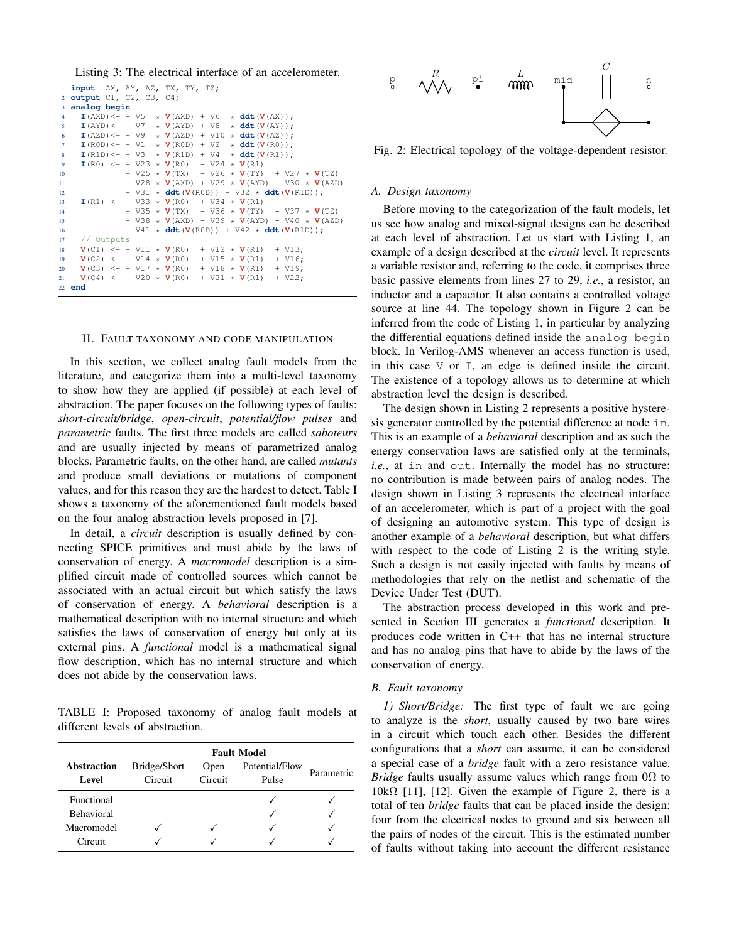Listing 3: The electrical interface of an accelerometer.

|                | 1 input AX, AY, AZ, TX, TY, TZ; |  |  |  |  |                                                                                                                                                      |          |                                                                                           |
|----------------|---------------------------------|--|--|--|--|------------------------------------------------------------------------------------------------------------------------------------------------------|----------|-------------------------------------------------------------------------------------------|
|                | 2 output C1, C2, C3, C4;        |  |  |  |  |                                                                                                                                                      |          |                                                                                           |
| 3              | analog begin                    |  |  |  |  |                                                                                                                                                      |          |                                                                                           |
| $\overline{4}$ |                                 |  |  |  |  | $\mathbf{I}(\text{AXD}) \leq + -\nabla 5 \times \mathbf{V}(\text{AXD}) + \nabla 6 \times \mathbf{ddt}(\mathbf{V}(\text{AX}));$                       |          |                                                                                           |
| 5              |                                 |  |  |  |  | $\mathbf{I}(\text{AYD}) \leq + -\nabla 7 \quad \star \quad \mathbf{V}(\text{AYD}) + \nabla 8 \quad \star \quad \mathbf{ddt}(\mathbf{V}(\text{AY}));$ |          |                                                                                           |
| 6              |                                 |  |  |  |  | $I(AZD)$ < + - V9 * $V(AZD)$ + V10 * ddt (V(AZ));                                                                                                    |          |                                                                                           |
| $7^{\circ}$    |                                 |  |  |  |  | $I(ROD) < + + VI + V(ROD) + V2 + ddt(V(RO))$ ;                                                                                                       |          |                                                                                           |
| 8              |                                 |  |  |  |  | $I(R1D) < + - V3 + V(R1D) + V4 + ddt(V(R1));$                                                                                                        |          |                                                                                           |
| $\overline{9}$ |                                 |  |  |  |  | $I(R0)$ < + + V23 * $V(R0)$ - V24 * $V(R1)$                                                                                                          |          |                                                                                           |
| 10             |                                 |  |  |  |  |                                                                                                                                                      |          | + V25 * $V(TX)$ - V26 * $V(TY)$ + V27 * $V(TZ)$                                           |
| 11             |                                 |  |  |  |  |                                                                                                                                                      |          | + V28 * <b>V</b> (AXD) + V29 * <b>V</b> (AYD) - V30 * <b>V</b> (AZD)                      |
| 12             |                                 |  |  |  |  | + V31 * $ddt$ (V(ROD)) - V32 * $ddt$ (V(R1D));                                                                                                       |          |                                                                                           |
| 13             |                                 |  |  |  |  | $I(R1)$ <+ - V33 * $V(R0)$ + V34 * $V(R1)$                                                                                                           |          |                                                                                           |
| 14             |                                 |  |  |  |  |                                                                                                                                                      |          | $-$ V35 $\star$ <b>V</b> (TX) $-$ V36 $\star$ <b>V</b> (TY) $-$ V37 $\star$ <b>V</b> (TZ) |
| 15             |                                 |  |  |  |  |                                                                                                                                                      |          | + V38 * <b>V</b> (AXD) - V39 * <b>V</b> (AYD) - V40 * <b>V</b> (AZD)                      |
| 16             |                                 |  |  |  |  | $-$ V41 $\star$ ddt(V(ROD)) + V42 $\star$ ddt(V(R1D));                                                                                               |          |                                                                                           |
| 17             | // Outputs                      |  |  |  |  |                                                                                                                                                      |          |                                                                                           |
| 18             |                                 |  |  |  |  | $V(Cl)$ < + + V11 * $V(R0)$ + V12 * $V(R1)$                                                                                                          | $+ V13;$ |                                                                                           |
| 19             |                                 |  |  |  |  | $V(C2)$ < + + V14 * $V(R0)$ + V15 * $V(R1)$                                                                                                          | $+ V16;$ |                                                                                           |
| 20             |                                 |  |  |  |  | $V(C3)$ < + + V17 $\star$ $V(R0)$ + V18 $\star$ $V(R1)$                                                                                              | $+ V19;$ |                                                                                           |
| 21             |                                 |  |  |  |  | $V(C4)$ < + + V20 $\star$ $V(R0)$ + V21 $\star$ $V(R1)$                                                                                              | $+ V22;$ |                                                                                           |
|                | $22$ end                        |  |  |  |  |                                                                                                                                                      |          |                                                                                           |

#### II. FAULT TAXONOMY AND CODE MANIPULATION

In this section, we collect analog fault models from the literature, and categorize them into a multi-level taxonomy to show how they are applied (if possible) at each level of abstraction. The paper focuses on the following types of faults: *short-circuit/bridge*, *open-circuit*, *potential/flow pulses* and *parametric* faults. The first three models are called *saboteurs* and are usually injected by means of parametrized analog blocks. Parametric faults, on the other hand, are called *mutants* and produce small deviations or mutations of component values, and for this reason they are the hardest to detect. Table I shows a taxonomy of the aforementioned fault models based on the four analog abstraction levels proposed in [7].

In detail, a *circuit* description is usually defined by connecting SPICE primitives and must abide by the laws of conservation of energy. A *macromodel* description is a simplified circuit made of controlled sources which cannot be associated with an actual circuit but which satisfy the laws of conservation of energy. A *behavioral* description is a mathematical description with no internal structure and which satisfies the laws of conservation of energy but only at its external pins. A *functional* model is a mathematical signal flow description, which has no internal structure and which does not abide by the conservation laws.

TABLE I: Proposed taxonomy of analog fault models at different levels of abstraction.

|                    |              |         | <b>Fault Model</b> |            |  |
|--------------------|--------------|---------|--------------------|------------|--|
| <b>Abstraction</b> | Bridge/Short | Open    | Potential/Flow     | Parametric |  |
| Level              | Circuit      | Circuit | Pulse              |            |  |
| Functional         |              |         |                    |            |  |
| <b>Behavioral</b>  |              |         |                    |            |  |
| Macromodel         |              |         |                    |            |  |
| Circuit            |              |         |                    |            |  |



Fig. 2: Electrical topology of the voltage-dependent resistor.

# *A. Design taxonomy*

Before moving to the categorization of the fault models, let us see how analog and mixed-signal designs can be described at each level of abstraction. Let us start with Listing 1, an example of a design described at the *circuit* level. It represents a variable resistor and, referring to the code, it comprises three basic passive elements from lines 27 to 29, *i.e.*, a resistor, an inductor and a capacitor. It also contains a controlled voltage source at line 44. The topology shown in Figure 2 can be inferred from the code of Listing 1, in particular by analyzing the differential equations defined inside the analog begin block. In Verilog-AMS whenever an access function is used, in this case V or I, an edge is defined inside the circuit. The existence of a topology allows us to determine at which abstraction level the design is described.

The design shown in Listing 2 represents a positive hysteresis generator controlled by the potential difference at node in. This is an example of a *behavioral* description and as such the energy conservation laws are satisfied only at the terminals, *i.e.*, at in and out. Internally the model has no structure; no contribution is made between pairs of analog nodes. The design shown in Listing 3 represents the electrical interface of an accelerometer, which is part of a project with the goal of designing an automotive system. This type of design is another example of a *behavioral* description, but what differs with respect to the code of Listing 2 is the writing style. Such a design is not easily injected with faults by means of methodologies that rely on the netlist and schematic of the Device Under Test (DUT).

The abstraction process developed in this work and presented in Section III generates a *functional* description. It produces code written in C++ that has no internal structure and has no analog pins that have to abide by the laws of the conservation of energy.

# *B. Fault taxonomy*

*1) Short/Bridge:* The first type of fault we are going to analyze is the *short*, usually caused by two bare wires in a circuit which touch each other. Besides the different configurations that a *short* can assume, it can be considered a special case of a *bridge* fault with a zero resistance value. *Bridge* faults usually assume values which range from  $0\Omega$  to 10kΩ [11], [12]. Given the example of Figure 2, there is a total of ten *bridge* faults that can be placed inside the design: four from the electrical nodes to ground and six between all the pairs of nodes of the circuit. This is the estimated number of faults without taking into account the different resistance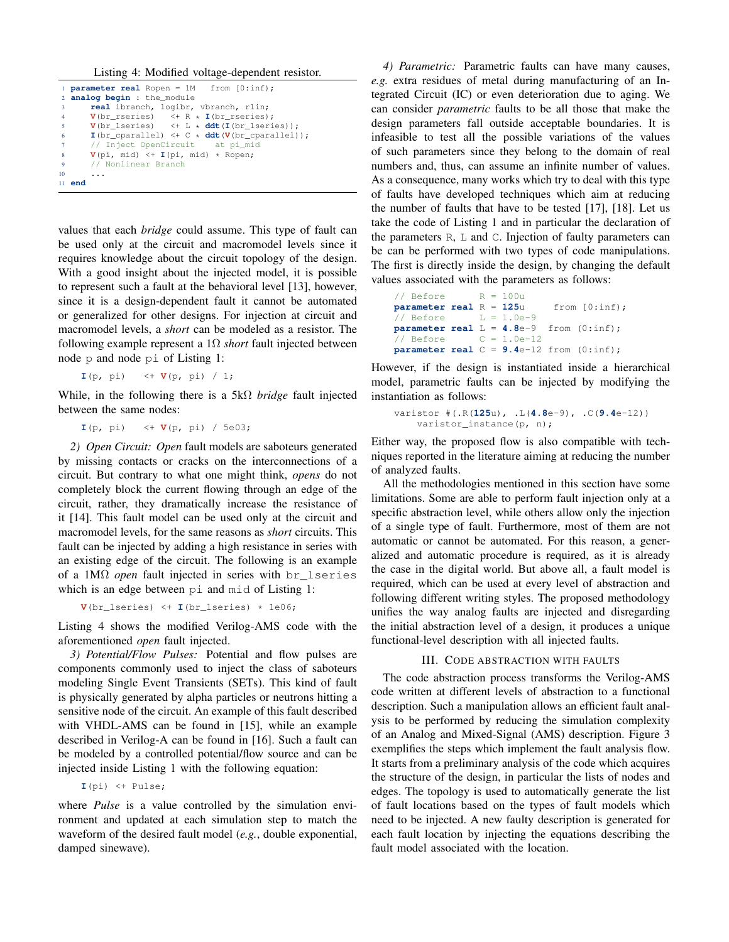Listing 4: Modified voltage-dependent resistor.

```
parameter real Ropen = 1M from [0:inf);
   2 analog begin : the_module
        real ibranch, logibr, vbranch, rlin;
        V(br_r rseries) \leftrightarrow R \star I(br_r rseries);<br>V(br_l) series) \leftrightarrow L \star ddt (I(br_l) series
                              5 V(br_lseries) <+ L * ddt(I(br_lseries));
        I(br_{\text{c}}) \rightarrow + C \rightarrow ddt(V(br_{\text{c}})Inject OpenCircuit at pi_mid
        8 V(pi, mid) <+ I(pi, mid) * Ropen;
        // Nonlinear Branch
10 ...
11 end
```
values that each *bridge* could assume. This type of fault can be used only at the circuit and macromodel levels since it requires knowledge about the circuit topology of the design. With a good insight about the injected model, it is possible to represent such a fault at the behavioral level [13], however, since it is a design-dependent fault it cannot be automated or generalized for other designs. For injection at circuit and macromodel levels, a *short* can be modeled as a resistor. The following example represent a 1Ω *short* fault injected between node p and node pi of Listing 1:

**I**(p, pi) <+ **V**(p, pi) / 1;

While, in the following there is a 5kΩ *bridge* fault injected between the same nodes:

**I**(p, pi) <+ **V**(p, pi) / 5e03;

*2) Open Circuit: Open* fault models are saboteurs generated by missing contacts or cracks on the interconnections of a circuit. But contrary to what one might think, *opens* do not completely block the current flowing through an edge of the circuit, rather, they dramatically increase the resistance of it [14]. This fault model can be used only at the circuit and macromodel levels, for the same reasons as *short* circuits. This fault can be injected by adding a high resistance in series with an existing edge of the circuit. The following is an example of a 1MΩ *open* fault injected in series with br\_lseries which is an edge between  $pi$  and mid of Listing 1:

**V**(br\_lseries) <+ **I**(br\_lseries) \* 1e06;

Listing 4 shows the modified Verilog-AMS code with the aforementioned *open* fault injected.

*3) Potential/Flow Pulses:* Potential and flow pulses are components commonly used to inject the class of saboteurs modeling Single Event Transients (SETs). This kind of fault is physically generated by alpha particles or neutrons hitting a sensitive node of the circuit. An example of this fault described with VHDL-AMS can be found in [15], while an example described in Verilog-A can be found in [16]. Such a fault can be modeled by a controlled potential/flow source and can be injected inside Listing 1 with the following equation:

**I**(pi) <+ Pulse;

where *Pulse* is a value controlled by the simulation environment and updated at each simulation step to match the waveform of the desired fault model (*e.g.*, double exponential, damped sinewave).

*4) Parametric:* Parametric faults can have many causes, *e.g.* extra residues of metal during manufacturing of an Integrated Circuit (IC) or even deterioration due to aging. We can consider *parametric* faults to be all those that make the design parameters fall outside acceptable boundaries. It is infeasible to test all the possible variations of the values of such parameters since they belong to the domain of real numbers and, thus, can assume an infinite number of values. As a consequence, many works which try to deal with this type of faults have developed techniques which aim at reducing the number of faults that have to be tested [17], [18]. Let us take the code of Listing 1 and in particular the declaration of the parameters  $R$ ,  $L$  and  $C$ . Injection of faulty parameters can be can be performed with two types of code manipulations. The first is directly inside the design, by changing the default values associated with the parameters as follows:

```
// Before R = 100uparameter real R = 125u from [0:inf);
\frac{1}{\sqrt{2}} Before L = 1.0e-9
parameter real L = 4.8e-9 from (0:inf);
V / Before C = 1.0e-12parameter real C = 9.4e-12 from (0:inf);
```
However, if the design is instantiated inside a hierarchical model, parametric faults can be injected by modifying the instantiation as follows:

```
varistor #(.R(125u), .L(4.8e-9), .C(9.4e-12))
    varistor_instance(p, n);
```
Either way, the proposed flow is also compatible with techniques reported in the literature aiming at reducing the number of analyzed faults.

All the methodologies mentioned in this section have some limitations. Some are able to perform fault injection only at a specific abstraction level, while others allow only the injection of a single type of fault. Furthermore, most of them are not automatic or cannot be automated. For this reason, a generalized and automatic procedure is required, as it is already the case in the digital world. But above all, a fault model is required, which can be used at every level of abstraction and following different writing styles. The proposed methodology unifies the way analog faults are injected and disregarding the initial abstraction level of a design, it produces a unique functional-level description with all injected faults.

## III. CODE ABSTRACTION WITH FAULTS

The code abstraction process transforms the Verilog-AMS code written at different levels of abstraction to a functional description. Such a manipulation allows an efficient fault analysis to be performed by reducing the simulation complexity of an Analog and Mixed-Signal (AMS) description. Figure 3 exemplifies the steps which implement the fault analysis flow. It starts from a preliminary analysis of the code which acquires the structure of the design, in particular the lists of nodes and edges. The topology is used to automatically generate the list of fault locations based on the types of fault models which need to be injected. A new faulty description is generated for each fault location by injecting the equations describing the fault model associated with the location.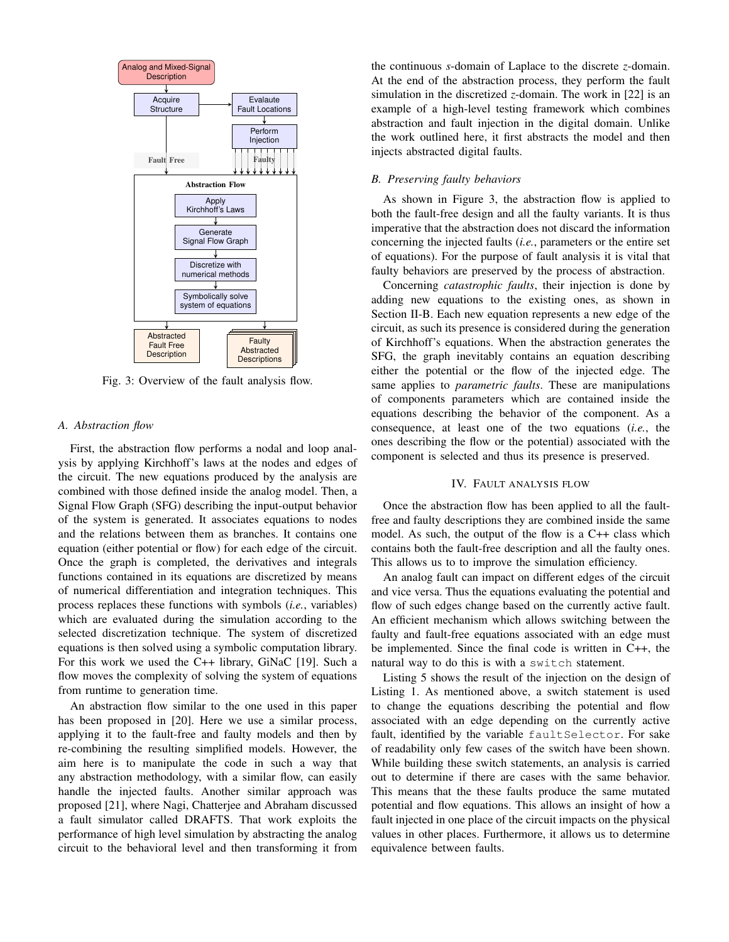

Fig. 3: Overview of the fault analysis flow.

# *A. Abstraction flow*

First, the abstraction flow performs a nodal and loop analysis by applying Kirchhoff's laws at the nodes and edges of the circuit. The new equations produced by the analysis are combined with those defined inside the analog model. Then, a Signal Flow Graph (SFG) describing the input-output behavior of the system is generated. It associates equations to nodes and the relations between them as branches. It contains one equation (either potential or flow) for each edge of the circuit. Once the graph is completed, the derivatives and integrals functions contained in its equations are discretized by means of numerical differentiation and integration techniques. This process replaces these functions with symbols (*i.e.*, variables) which are evaluated during the simulation according to the selected discretization technique. The system of discretized equations is then solved using a symbolic computation library. For this work we used the C++ library, GiNaC [19]. Such a flow moves the complexity of solving the system of equations from runtime to generation time.

An abstraction flow similar to the one used in this paper has been proposed in [20]. Here we use a similar process, applying it to the fault-free and faulty models and then by re-combining the resulting simplified models. However, the aim here is to manipulate the code in such a way that any abstraction methodology, with a similar flow, can easily handle the injected faults. Another similar approach was proposed [21], where Nagi, Chatterjee and Abraham discussed a fault simulator called DRAFTS. That work exploits the performance of high level simulation by abstracting the analog circuit to the behavioral level and then transforming it from the continuous *s*-domain of Laplace to the discrete *z*-domain. At the end of the abstraction process, they perform the fault simulation in the discretized *z*-domain. The work in [22] is an example of a high-level testing framework which combines abstraction and fault injection in the digital domain. Unlike the work outlined here, it first abstracts the model and then injects abstracted digital faults.

# *B. Preserving faulty behaviors*

As shown in Figure 3, the abstraction flow is applied to both the fault-free design and all the faulty variants. It is thus imperative that the abstraction does not discard the information concerning the injected faults (*i.e.*, parameters or the entire set of equations). For the purpose of fault analysis it is vital that faulty behaviors are preserved by the process of abstraction.

Concerning *catastrophic faults*, their injection is done by adding new equations to the existing ones, as shown in Section II-B. Each new equation represents a new edge of the circuit, as such its presence is considered during the generation of Kirchhoff's equations. When the abstraction generates the SFG, the graph inevitably contains an equation describing either the potential or the flow of the injected edge. The same applies to *parametric faults*. These are manipulations of components parameters which are contained inside the equations describing the behavior of the component. As a consequence, at least one of the two equations (*i.e.*, the ones describing the flow or the potential) associated with the component is selected and thus its presence is preserved.

# IV. FAULT ANALYSIS FLOW

Once the abstraction flow has been applied to all the faultfree and faulty descriptions they are combined inside the same model. As such, the output of the flow is a C++ class which contains both the fault-free description and all the faulty ones. This allows us to to improve the simulation efficiency.

An analog fault can impact on different edges of the circuit and vice versa. Thus the equations evaluating the potential and flow of such edges change based on the currently active fault. An efficient mechanism which allows switching between the faulty and fault-free equations associated with an edge must be implemented. Since the final code is written in C++, the natural way to do this is with a switch statement.

Listing 5 shows the result of the injection on the design of Listing 1. As mentioned above, a switch statement is used to change the equations describing the potential and flow associated with an edge depending on the currently active fault, identified by the variable faultSelector. For sake of readability only few cases of the switch have been shown. While building these switch statements, an analysis is carried out to determine if there are cases with the same behavior. This means that the these faults produce the same mutated potential and flow equations. This allows an insight of how a fault injected in one place of the circuit impacts on the physical values in other places. Furthermore, it allows us to determine equivalence between faults.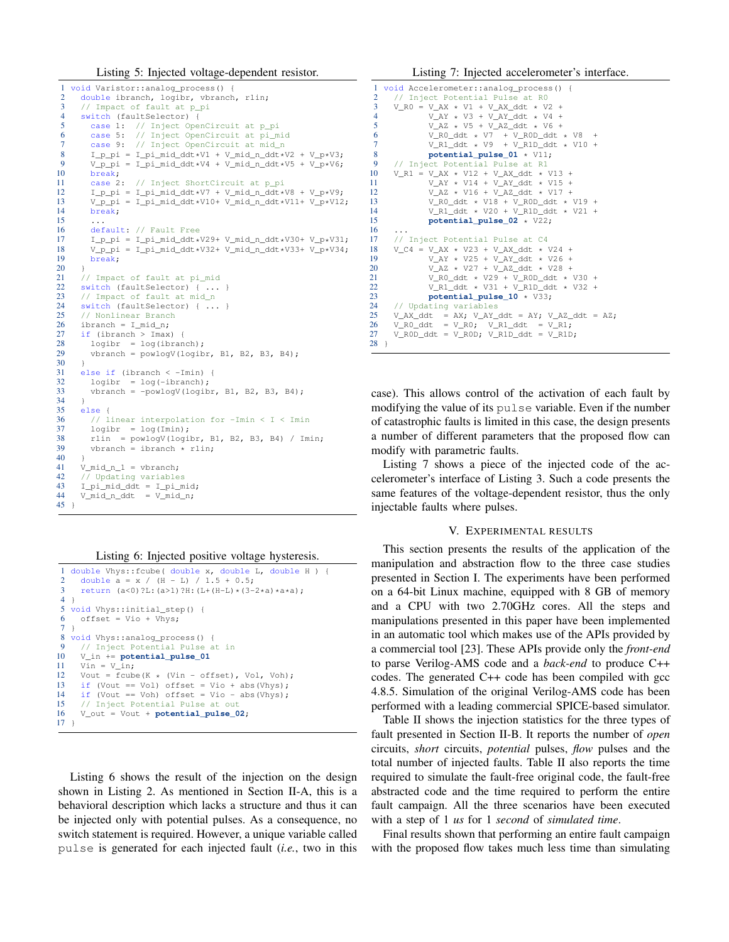Listing 5: Injected voltage-dependent resistor.

```
1 void Varistor::analog_process() {<br>2 double ibranch, logibr, vbranch
 2 double ibranch, logibr, vbranch, rlin;<br>3 // Impact of fault at p pi
 3 // Impact of fault at p_pi<br>4 switch (faultSelector) {
 4 switch (faultSelector) {<br>5 case 1: // Inject Oper
 5 case 1: // Inject OpenCircuit at p_pi<br>6 case 5: // Inject OpenCircuit at pi m
           case 5: // Inject OpenCircuit at pi_mid
 7 case 9: // Inject OpenCircuit at \overline{mid\_n}<br>8 I p pi = I pi mid ddt *Vl + V mid n ddt *
 8 I\_p\_pi = I\_pi\_mid\_ddt*V1 + V\_mid\_n\_ddt*V2 + V\_p*V3;<br>9 V p pi = I pi mid ddt *V4 + V mid n ddt *V5 + V p *V6:
9 V\_p\_pi = I\_pi\_mid\_ddt*V4 + V\_mid\_nddt*V5 + V\_p*V6;<br>10 break:
10 break;<br>11 case 2
           case 2: // Inject ShortCircuit at p_pi
12 I_p_pi = I_pi_mid_ddt*V7 + V_mid_n_ddt*V8 + V_p*V9;<br>13 V p pi = I pi mid ddt*V10+ V mid n ddt*V11+ V p*V12
13 V_p_pi = I_pi_mid_ddt*V10+ V_mid_n_ddt*V11+ V_p*V12;<br>14 break:
           break;
15
16 default: // Fault Free
17 I_p_pi = I_pi_mid_ddt*V29+ V_mid_n_ddt*V30+ V_p*V31;<br>18 V p pi = I pi mid ddt*V32+ V mid n ddt*V33+ V p*V34;
18 V_p pi = I_pi_mid_ddt*V32+ V_mid_n_ddt*V33+ V_p*V34;<br>19 break;
           break;
\frac{20}{21}21 \frac{1}{2} // Impact of fault at pi_mid<br>22 switch (fault Selector) {
22 switch (faultSelector) { \dots }<br>23 // Impact of fault at mid n
23 // Impact of fault at mid_n<br>24 switch (faultSelector) {
24 switch (faultSelector) { ... }<br>25 // Nonlinear Branch
25 // Nonlinear Branch<br>26 ibranch = I mid n.
26 ibranch = I_mid_n;<br>27 if (ibranch > Imax
27 if (ibranch > Imax) {<br>28 logibr = log(ibran
28 logibr = log(ibranch);<br>29 whranch = pow100V(100)vbranch = powlogV(logibr, B1, B2, B3, B4);
\frac{30}{31}else if (ibranch \le -Imin) {
32 logibr = log(-ibrand);<br>33 whranch = -powloadV(logib)vbranch = -powlogV(logibr, B1, B2, B3, B4);
\frac{34}{35}35 else {<br>36 // 1
36 // linear interpolation for -\text{Inin} < I < \text{Inin}<br>37 logibr = log(Imin):
37 logibr = log(Imin);<br>38 rlin = powlogV(logi)38 rlin = powlogV(logibr, B1, B2, B3, B4) / Imin;<br>39 whranch = ihranch + rlin:
           vbranch = ibranch * rlin;40 }
41 V_mid_n_1 = vbranch;<br>\frac{42}{7} // Updating variable
42 \frac{1}{2} // Updating variables<br>43 I pi mid ddt = I pi m
43 I\_pi\_mid\_ddt = I\_pi\_mid;<br>44 V mid n ddt = V mid n:
        V\_mid\_n\_ddt = V\_mid\_n;45 }
```
Listing 6: Injected positive voltage hysteresis.

```
1 double Vhys::fcube( double x, double L, double H ) {<br>2 double a = x / (H - L) / 1.5 + 0.5;
 2 double a = x / (H - L) / 1.5 + 0.5;<br>3 return (a<0)?L:(a>1)?H:(L+(H-L) *(3-
       return (a<0)?L:(a>1)?H:(L+(H-L)*(3-2*a)*a*a);
 4 }
 5 void Vhys::initial_step() {<br>6 offset = Vio + Vhys:
      offset = Vio + Vhvs:7 }
 8 void Vhys::analog_process() {
       9 // Inject Potential Pulse at in
10 V_{in} += potential_pulse_01<br>11 V_{in} = V in:
11 \overline{V}in = V<sub>in;</sub><br>12 \overline{V}out = fcube
12 Vout = fcube(K * (Vin - offset), Vol, Voh);<br>13 if (Vout == Vol) offset = Vio + abs(Vbys);
       if (Vout == Vol) offset = Vio + abs(Vhys);
14 if (Vout == Voh) offset = Vio - abs(Vhys);<br>15 // Inject Potential Pulse at out
       // Inject Potential Pulse at out
16 V_out = Vout + potential_pulse_02;<br>17 }
17 }
```
Listing 6 shows the result of the injection on the design shown in Listing 2. As mentioned in Section II-A, this is a behavioral description which lacks a structure and thus it can be injected only with potential pulses. As a consequence, no switch statement is required. However, a unique variable called pulse is generated for each injected fault (*i.e.*, two in this

#### Listing 7: Injected accelerometer's interface.

```
1 void Accelerometer::analog_process()<br>2 // Inject Potential Pulse at R0
  2 // Inject Potential Pulse at R0<br>3 V R0 = V AX * V1 + V AX ddt * V
  \frac{3}{4} V_R0 = V_AX \star V1 + V_AX_ddt \star V2 + V_AY + V_AY + V_AY + V4
  4 V_AY * V3 + V_AY_ddt * V4 + 5<br>5 V_AZ * V5 + V_AZ_ddt * V6 + 55 V_AZ * V5 + V_AZ_ddt * V6 +<br>6 V_R0 ddt * V7 + V_R0D ddt
   6 V_R0_ddt * V7 + V_R0D_ddt * V8 +
7 V_R1_ddt * V9 + V_R1D_ddt * V10 +
  8 potential_pulse_01 * V11;<br>9 // Inject Potential Pulse at R1
9 // Inject Potential Pulse at R1<br>10 V R1 = V AX * V12 + V AX ddt *
10 V_R1 = V_A X * V12 + V_A X_d dt * V13 + V_A Y_d dt * V15 + V_A Y_d dt * V15 + V_A Y_d dt * V15 + V_A Y_d dt * V15 + V_A Y_d dt * V15 + V_A Y_d dt * V15 + V_A Y_d dt * V15 + V_A Y_d dt * V15 + V_A Y_d dt * V15 + V_A Y_d dt * V15 + V_A Y_d dt * V15 + V_A Y_d dt * V15 + V_A Y_d dt * V15 + V_A Y_d dt * V15 + V_A Y_d dt * V15 + V_A Y_d dt * V15 + V_A Y_d dt * V15 + V_A Y_d dt * V15 + V_A Y_d dt * V15 + V_A Y_d dt11 V \rightarrow \text{AY} * \text{VI4} + \text{V} \rightarrow \text{Y} \rightarrow \text{V15} + \text{VI3}<br>12 V \rightarrow \text{AZ} * \text{VI6} + \text{V} \rightarrow \text{AZ} \rightarrow \text{ddt} * \text{VI7} + \text{VI4} \rightarrow \text{V16} + \text{V17} \rightarrow \text{V17} + \text{VI3} \rightarrow \text{V17} + \text{VI4} \rightarrow \text{V18} + \text{VI5} \rightarrow \text{V19} + \text{VI7} \rightarrow \text{V19} + \text{VI7} \rightarrow \text{V19} + \text{VI7} \rightarrow \text12 V\_\text{AZ} * VI6 + V\_\text{AZ} \_\text{ddt} * VI7 +<br>13 V\_\text{R0} \_\text{ddt} * VI8 + V\_\text{R0D} \_\text{ddt} *V_R0_ddt \times VI8 + V_R0D_ddt \times VI9 +14 V_R1\_ddt \times V20 + V_R1D\_ddt \times V21 + 15 notential pulse 02 \div V22.
                              \overline{\text{potential pulse 02}} * V22;
16 ...
17 // Inject Potential Pulse at C4<br>18 V C4 = V AX * V23 + V AX ddt *
18 V_C4 = V_A X + V23 + V_A X_d ddt + V24 + 19<br>19 VAY + V25 + VAY ddt + V26 + 1919 V_AY * V25 + V_AY_{d}dt * V26 + 20<br>
V_AZ * V27 + V_AZ_{d}dt * V28 + 2020 V\rightarrow X + V27 + V\rightarrow Z \rightarrow V<br>21 V R0 ddt * V29 + V R0D ddt *
 21 V_R0_ddt * V29 + V_R0D_ddt * V30 +
22 V_R1_ddt * V31 + V_R1D_ddt * V32 +
23 potential_pulse_10 * V33;<br>24 // Undating variables
            // Updating variables
25 V_AX_ddt = AX; V_AY_ddt = AY; V_AZ_ddt = AZ;
26 V_R0_ddt = V_R0; V_R1_ddt = V_R1;
27 V_R0D_ddt = V_R0D; V_R1D_ddt = V_R1D;
28 }
```
case). This allows control of the activation of each fault by modifying the value of its pulse variable. Even if the number of catastrophic faults is limited in this case, the design presents a number of different parameters that the proposed flow can modify with parametric faults.

Listing 7 shows a piece of the injected code of the accelerometer's interface of Listing 3. Such a code presents the same features of the voltage-dependent resistor, thus the only injectable faults where pulses.

# V. EXPERIMENTAL RESULTS

This section presents the results of the application of the manipulation and abstraction flow to the three case studies presented in Section I. The experiments have been performed on a 64-bit Linux machine, equipped with 8 GB of memory and a CPU with two 2.70GHz cores. All the steps and manipulations presented in this paper have been implemented in an automatic tool which makes use of the APIs provided by a commercial tool [23]. These APIs provide only the *front-end* to parse Verilog-AMS code and a *back-end* to produce C++ codes. The generated C++ code has been compiled with gcc 4.8.5. Simulation of the original Verilog-AMS code has been performed with a leading commercial SPICE-based simulator.

Table II shows the injection statistics for the three types of fault presented in Section II-B. It reports the number of *open* circuits, *short* circuits, *potential* pulses, *flow* pulses and the total number of injected faults. Table II also reports the time required to simulate the fault-free original code, the fault-free abstracted code and the time required to perform the entire fault campaign. All the three scenarios have been executed with a step of 1 *us* for 1 *second* of *simulated time*.

Final results shown that performing an entire fault campaign with the proposed flow takes much less time than simulating